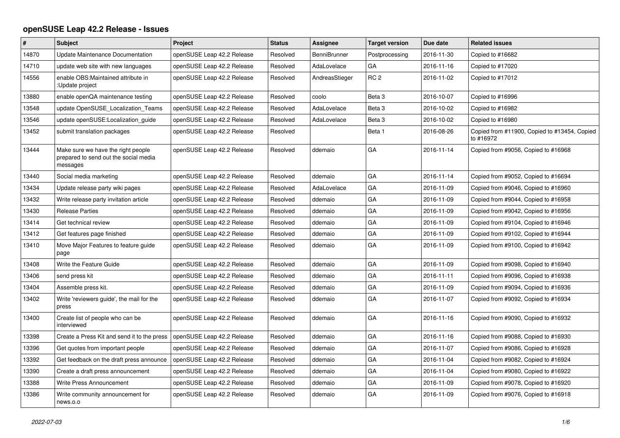## **openSUSE Leap 42.2 Release - Issues**

| $\pmb{\#}$ | Subject                                                                                 | Project                    | <b>Status</b> | <b>Assignee</b> | <b>Target version</b> | Due date   | <b>Related issues</b>                                     |
|------------|-----------------------------------------------------------------------------------------|----------------------------|---------------|-----------------|-----------------------|------------|-----------------------------------------------------------|
| 14870      | Update Maintenance Documentation                                                        | openSUSE Leap 42.2 Release | Resolved      | BenniBrunner    | Postprocessing        | 2016-11-30 | Copied to #16682                                          |
| 14710      | update web site with new languages                                                      | openSUSE Leap 42.2 Release | Resolved      | AdaLovelace     | GA                    | 2016-11-16 | Copied to #17020                                          |
| 14556      | enable OBS: Maintained attribute in<br>:Update project                                  | openSUSE Leap 42.2 Release | Resolved      | AndreasStieger  | RC <sub>2</sub>       | 2016-11-02 | Copied to #17012                                          |
| 13880      | enable openQA maintenance testing                                                       | openSUSE Leap 42.2 Release | Resolved      | coolo           | Beta <sub>3</sub>     | 2016-10-07 | Copied to #16996                                          |
| 13548      | update OpenSUSE Localization Teams                                                      | openSUSE Leap 42.2 Release | Resolved      | AdaLovelace     | Beta <sub>3</sub>     | 2016-10-02 | Copied to #16982                                          |
| 13546      | update openSUSE:Localization_guide                                                      | openSUSE Leap 42.2 Release | Resolved      | AdaLovelace     | Beta <sub>3</sub>     | 2016-10-02 | Copied to #16980                                          |
| 13452      | submit translation packages                                                             | openSUSE Leap 42.2 Release | Resolved      |                 | Beta 1                | 2016-08-26 | Copied from #11900, Copied to #13454, Copied<br>to #16972 |
| 13444      | Make sure we have the right people<br>prepared to send out the social media<br>messages | openSUSE Leap 42.2 Release | Resolved      | ddemaio         | GA                    | 2016-11-14 | Copied from #9056, Copied to #16968                       |
| 13440      | Social media marketing                                                                  | openSUSE Leap 42.2 Release | Resolved      | ddemaio         | GA                    | 2016-11-14 | Copied from #9052, Copied to #16694                       |
| 13434      | Update release party wiki pages                                                         | openSUSE Leap 42.2 Release | Resolved      | AdaLovelace     | GA                    | 2016-11-09 | Copied from #9046, Copied to #16960                       |
| 13432      | Write release party invitation article                                                  | openSUSE Leap 42.2 Release | Resolved      | ddemaio         | GA                    | 2016-11-09 | Copied from #9044, Copied to #16958                       |
| 13430      | <b>Release Parties</b>                                                                  | openSUSE Leap 42.2 Release | Resolved      | ddemaio         | GA                    | 2016-11-09 | Copied from #9042, Copied to #16956                       |
| 13414      | Get technical review                                                                    | openSUSE Leap 42.2 Release | Resolved      | ddemaio         | GA                    | 2016-11-09 | Copied from #9104, Copied to #16946                       |
| 13412      | Get features page finished                                                              | openSUSE Leap 42.2 Release | Resolved      | ddemaio         | GA                    | 2016-11-09 | Copied from #9102, Copied to #16944                       |
| 13410      | Move Major Features to feature guide<br>page                                            | openSUSE Leap 42.2 Release | Resolved      | ddemaio         | GA                    | 2016-11-09 | Copied from #9100, Copied to #16942                       |
| 13408      | Write the Feature Guide                                                                 | openSUSE Leap 42.2 Release | Resolved      | ddemaio         | GA                    | 2016-11-09 | Copied from #9098, Copied to #16940                       |
| 13406      | send press kit                                                                          | openSUSE Leap 42.2 Release | Resolved      | ddemaio         | GA                    | 2016-11-11 | Copied from #9096, Copied to #16938                       |
| 13404      | Assemble press kit.                                                                     | openSUSE Leap 42.2 Release | Resolved      | ddemaio         | GA                    | 2016-11-09 | Copied from #9094, Copied to #16936                       |
| 13402      | Write 'reviewers guide', the mail for the<br>press                                      | openSUSE Leap 42.2 Release | Resolved      | ddemaio         | GA                    | 2016-11-07 | Copied from #9092, Copied to #16934                       |
| 13400      | Create list of people who can be<br>interviewed                                         | openSUSE Leap 42.2 Release | Resolved      | ddemaio         | GA                    | 2016-11-16 | Copied from #9090, Copied to #16932                       |
| 13398      | Create a Press Kit and send it to the press                                             | openSUSE Leap 42.2 Release | Resolved      | ddemaio         | GA                    | 2016-11-16 | Copied from #9088, Copied to #16930                       |
| 13396      | Get quotes from important people                                                        | openSUSE Leap 42.2 Release | Resolved      | ddemaio         | GA                    | 2016-11-07 | Copied from #9086, Copied to #16928                       |
| 13392      | Get feedback on the draft press announce                                                | openSUSE Leap 42.2 Release | Resolved      | ddemaio         | GA                    | 2016-11-04 | Copied from #9082, Copied to #16924                       |
| 13390      | Create a draft press announcement                                                       | openSUSE Leap 42.2 Release | Resolved      | ddemaio         | GA                    | 2016-11-04 | Copied from #9080, Copied to #16922                       |
| 13388      | Write Press Announcement                                                                | openSUSE Leap 42.2 Release | Resolved      | ddemaio         | GA                    | 2016-11-09 | Copied from #9078, Copied to #16920                       |
| 13386      | Write community announcement for<br>news.o.o                                            | openSUSE Leap 42.2 Release | Resolved      | ddemaio         | GA                    | 2016-11-09 | Copied from #9076, Copied to #16918                       |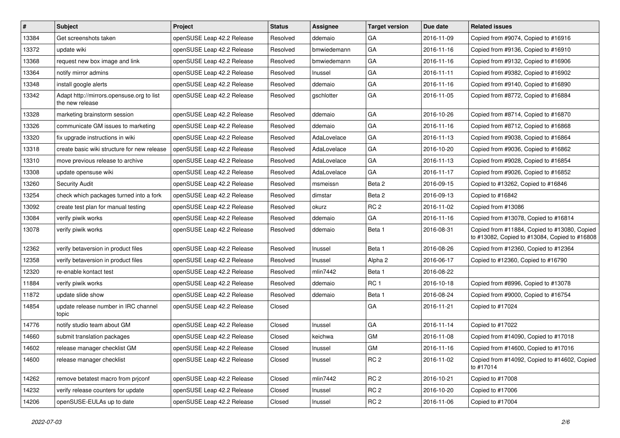| $\vert$ # | <b>Subject</b>                                               | Project                    | <b>Status</b> | <b>Assignee</b> | <b>Target version</b> | Due date   | <b>Related issues</b>                                                                         |
|-----------|--------------------------------------------------------------|----------------------------|---------------|-----------------|-----------------------|------------|-----------------------------------------------------------------------------------------------|
| 13384     | Get screenshots taken                                        | openSUSE Leap 42.2 Release | Resolved      | ddemaio         | GА                    | 2016-11-09 | Copied from #9074, Copied to #16916                                                           |
| 13372     | update wiki                                                  | openSUSE Leap 42.2 Release | Resolved      | bmwiedemann     | GA                    | 2016-11-16 | Copied from #9136, Copied to #16910                                                           |
| 13368     | request new box image and link                               | openSUSE Leap 42.2 Release | Resolved      | bmwiedemann     | GA                    | 2016-11-16 | Copied from #9132, Copied to #16906                                                           |
| 13364     | notify mirror admins                                         | openSUSE Leap 42.2 Release | Resolved      | Inussel         | GA                    | 2016-11-11 | Copied from #9382, Copied to #16902                                                           |
| 13348     | install google alerts                                        | openSUSE Leap 42.2 Release | Resolved      | ddemaio         | GA                    | 2016-11-16 | Copied from #9140, Copied to #16890                                                           |
| 13342     | Adapt http://mirrors.opensuse.org to list<br>the new release | openSUSE Leap 42.2 Release | Resolved      | gschlotter      | GA                    | 2016-11-05 | Copied from #8772, Copied to #16884                                                           |
| 13328     | marketing brainstorm session                                 | openSUSE Leap 42.2 Release | Resolved      | ddemaio         | GA                    | 2016-10-26 | Copied from #8714, Copied to #16870                                                           |
| 13326     | communicate GM issues to marketing                           | openSUSE Leap 42.2 Release | Resolved      | ddemaio         | GA                    | 2016-11-16 | Copied from #8712, Copied to #16868                                                           |
| 13320     | fix upgrade instructions in wiki                             | openSUSE Leap 42.2 Release | Resolved      | AdaLovelace     | GA                    | 2016-11-13 | Copied from #9038, Copied to #16864                                                           |
| 13318     | create basic wiki structure for new release                  | openSUSE Leap 42.2 Release | Resolved      | AdaLovelace     | GA                    | 2016-10-20 | Copied from #9036, Copied to #16862                                                           |
| 13310     | move previous release to archive                             | openSUSE Leap 42.2 Release | Resolved      | AdaLovelace     | GA                    | 2016-11-13 | Copied from #9028, Copied to #16854                                                           |
| 13308     | update opensuse wiki                                         | openSUSE Leap 42.2 Release | Resolved      | AdaLovelace     | GA                    | 2016-11-17 | Copied from #9026, Copied to #16852                                                           |
| 13260     | <b>Security Audit</b>                                        | openSUSE Leap 42.2 Release | Resolved      | msmeissn        | Beta 2                | 2016-09-15 | Copied to #13262, Copied to #16846                                                            |
| 13254     | check which packages turned into a fork                      | openSUSE Leap 42.2 Release | Resolved      | dimstar         | Beta 2                | 2016-09-13 | Copied to #16842                                                                              |
| 13092     | create test plan for manual testing                          | openSUSE Leap 42.2 Release | Resolved      | okurz           | RC <sub>2</sub>       | 2016-11-02 | Copied from #13086                                                                            |
| 13084     | verify piwik works                                           | openSUSE Leap 42.2 Release | Resolved      | ddemaio         | GA                    | 2016-11-16 | Copied from #13078, Copied to #16814                                                          |
| 13078     | verify piwik works                                           | openSUSE Leap 42.2 Release | Resolved      | ddemaio         | Beta 1                | 2016-08-31 | Copied from #11884, Copied to #13080, Copied<br>to #13082, Copied to #13084, Copied to #16808 |
| 12362     | verify betaversion in product files                          | openSUSE Leap 42.2 Release | Resolved      | Inussel         | Beta 1                | 2016-08-26 | Copied from #12360, Copied to #12364                                                          |
| 12358     | verify betaversion in product files                          | openSUSE Leap 42.2 Release | Resolved      | Inussel         | Alpha 2               | 2016-06-17 | Copied to #12360, Copied to #16790                                                            |
| 12320     | re-enable kontact test                                       | openSUSE Leap 42.2 Release | Resolved      | mlin7442        | Beta 1                | 2016-08-22 |                                                                                               |
| 11884     | verify piwik works                                           | openSUSE Leap 42.2 Release | Resolved      | ddemaio         | RC <sub>1</sub>       | 2016-10-18 | Copied from #8996, Copied to #13078                                                           |
| 11872     | update slide show                                            | openSUSE Leap 42.2 Release | Resolved      | ddemaio         | Beta 1                | 2016-08-24 | Copied from #9000, Copied to #16754                                                           |
| 14854     | update release number in IRC channel<br>topic                | openSUSE Leap 42.2 Release | Closed        |                 | GA                    | 2016-11-21 | Copied to #17024                                                                              |
| 14776     | notify studio team about GM                                  | openSUSE Leap 42.2 Release | Closed        | Inussel         | GA                    | 2016-11-14 | Copied to #17022                                                                              |
| 14660     | submit translation packages                                  | openSUSE Leap 42.2 Release | Closed        | keichwa         | GM                    | 2016-11-08 | Copied from #14090, Copied to #17018                                                          |
| 14602     | release manager checklist GM                                 | openSUSE Leap 42.2 Release | Closed        | Inussel         | GM                    | 2016-11-16 | Copied from #14600, Copied to #17016                                                          |
| 14600     | release manager checklist                                    | openSUSE Leap 42.2 Release | Closed        | Inussel         | RC <sub>2</sub>       | 2016-11-02 | Copied from #14092, Copied to #14602, Copied<br>to #17014                                     |
| 14262     | remove betatest macro from priconf                           | openSUSE Leap 42.2 Release | Closed        | mlin7442        | RC <sub>2</sub>       | 2016-10-21 | Copied to #17008                                                                              |
| 14232     | verify release counters for update                           | openSUSE Leap 42.2 Release | Closed        | Inussel         | RC <sub>2</sub>       | 2016-10-20 | Copied to #17006                                                                              |
| 14206     | openSUSE-EULAs up to date                                    | openSUSE Leap 42.2 Release | Closed        | Inussel         | RC <sub>2</sub>       | 2016-11-06 | Copied to #17004                                                                              |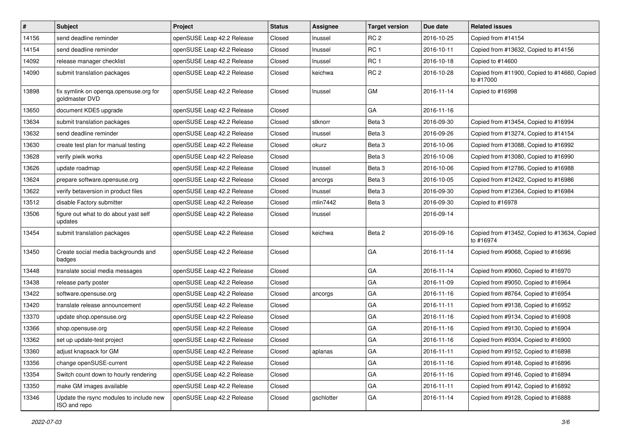| #     | <b>Subject</b>                                           | Project                    | <b>Status</b> | <b>Assignee</b> | <b>Target version</b> | Due date   | <b>Related issues</b>                                     |
|-------|----------------------------------------------------------|----------------------------|---------------|-----------------|-----------------------|------------|-----------------------------------------------------------|
| 14156 | send deadline reminder                                   | openSUSE Leap 42.2 Release | Closed        | Inussel         | RC <sub>2</sub>       | 2016-10-25 | Copied from #14154                                        |
| 14154 | send deadline reminder                                   | openSUSE Leap 42.2 Release | Closed        | Inussel         | RC <sub>1</sub>       | 2016-10-11 | Copied from #13632, Copied to #14156                      |
| 14092 | release manager checklist                                | openSUSE Leap 42.2 Release | Closed        | Inussel         | RC <sub>1</sub>       | 2016-10-18 | Copied to #14600                                          |
| 14090 | submit translation packages                              | openSUSE Leap 42.2 Release | Closed        | keichwa         | RC <sub>2</sub>       | 2016-10-28 | Copied from #11900, Copied to #14660, Copied<br>to #17000 |
| 13898 | fix symlink on openqa.opensuse.org for<br>goldmaster DVD | openSUSE Leap 42.2 Release | Closed        | Inussel         | GM                    | 2016-11-14 | Copied to #16998                                          |
| 13650 | document KDE5 upgrade                                    | openSUSE Leap 42.2 Release | Closed        |                 | GA                    | 2016-11-16 |                                                           |
| 13634 | submit translation packages                              | openSUSE Leap 42.2 Release | Closed        | stknorr         | Beta <sub>3</sub>     | 2016-09-30 | Copied from #13454, Copied to #16994                      |
| 13632 | send deadline reminder                                   | openSUSE Leap 42.2 Release | Closed        | Inussel         | Beta <sub>3</sub>     | 2016-09-26 | Copied from #13274, Copied to #14154                      |
| 13630 | create test plan for manual testing                      | openSUSE Leap 42.2 Release | Closed        | okurz           | Beta 3                | 2016-10-06 | Copied from #13088, Copied to #16992                      |
| 13628 | verify piwik works                                       | openSUSE Leap 42.2 Release | Closed        |                 | Beta 3                | 2016-10-06 | Copied from #13080, Copied to #16990                      |
| 13626 | update roadmap                                           | openSUSE Leap 42.2 Release | Closed        | Inussel         | Beta <sub>3</sub>     | 2016-10-06 | Copied from #12786, Copied to #16988                      |
| 13624 | prepare software.opensuse.org                            | openSUSE Leap 42.2 Release | Closed        | ancorgs         | Beta <sub>3</sub>     | 2016-10-05 | Copied from #12422, Copied to #16986                      |
| 13622 | verify betaversion in product files                      | openSUSE Leap 42.2 Release | Closed        | Inussel         | Beta <sub>3</sub>     | 2016-09-30 | Copied from #12364, Copied to #16984                      |
| 13512 | disable Factory submitter                                | openSUSE Leap 42.2 Release | Closed        | mlin7442        | Beta 3                | 2016-09-30 | Copied to #16978                                          |
| 13506 | figure out what to do about yast self<br>updates         | openSUSE Leap 42.2 Release | Closed        | Inussel         |                       | 2016-09-14 |                                                           |
| 13454 | submit translation packages                              | openSUSE Leap 42.2 Release | Closed        | keichwa         | Beta 2                | 2016-09-16 | Copied from #13452, Copied to #13634, Copied<br>to #16974 |
| 13450 | Create social media backgrounds and<br>badges            | openSUSE Leap 42.2 Release | Closed        |                 | GA                    | 2016-11-14 | Copied from #9068, Copied to #16696                       |
| 13448 | translate social media messages                          | openSUSE Leap 42.2 Release | Closed        |                 | GA                    | 2016-11-14 | Copied from #9060, Copied to #16970                       |
| 13438 | release party poster                                     | openSUSE Leap 42.2 Release | Closed        |                 | GA                    | 2016-11-09 | Copied from #9050, Copied to #16964                       |
| 13422 | software.opensuse.org                                    | openSUSE Leap 42.2 Release | Closed        | ancorgs         | GA                    | 2016-11-16 | Copied from #8764, Copied to #16954                       |
| 13420 | translate release announcement                           | openSUSE Leap 42.2 Release | Closed        |                 | GA                    | 2016-11-11 | Copied from #9138, Copied to #16952                       |
| 13370 | update shop.opensuse.org                                 | openSUSE Leap 42.2 Release | Closed        |                 | GA                    | 2016-11-16 | Copied from #9134, Copied to #16908                       |
| 13366 | shop.opensuse.org                                        | openSUSE Leap 42.2 Release | Closed        |                 | GA                    | 2016-11-16 | Copied from #9130, Copied to #16904                       |
| 13362 | set up update-test project                               | openSUSE Leap 42.2 Release | Closed        |                 | GA                    | 2016-11-16 | Copied from #9304, Copied to #16900                       |
| 13360 | adjust knapsack for GM                                   | openSUSE Leap 42.2 Release | Closed        | aplanas         | GA                    | 2016-11-11 | Copied from #9152, Copied to #16898                       |
| 13356 | change openSUSE-current                                  | openSUSE Leap 42.2 Release | Closed        |                 | GA                    | 2016-11-16 | Copied from #9148, Copied to #16896                       |
| 13354 | Switch count down to hourly rendering                    | openSUSE Leap 42.2 Release | Closed        |                 | GA                    | 2016-11-16 | Copied from #9146, Copied to #16894                       |
| 13350 | make GM images available                                 | openSUSE Leap 42.2 Release | Closed        |                 | GA                    | 2016-11-11 | Copied from #9142, Copied to #16892                       |
| 13346 | Update the rsync modules to include new<br>ISO and repo  | openSUSE Leap 42.2 Release | Closed        | gschlotter      | GA                    | 2016-11-14 | Copied from #9128, Copied to #16888                       |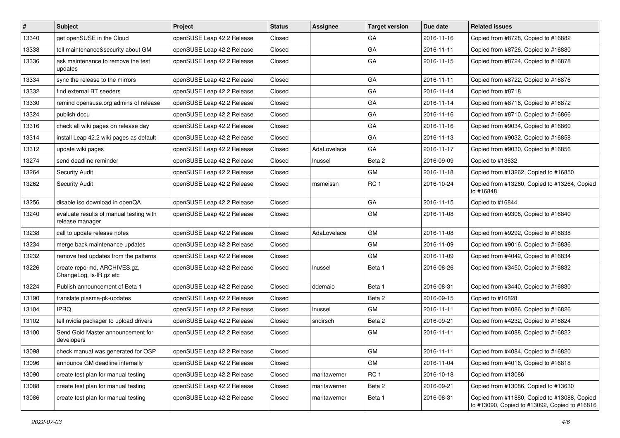| #     | <b>Subject</b>                                             | Project                    | <b>Status</b> | <b>Assignee</b> | <b>Target version</b> | Due date   | <b>Related issues</b>                                                                         |
|-------|------------------------------------------------------------|----------------------------|---------------|-----------------|-----------------------|------------|-----------------------------------------------------------------------------------------------|
| 13340 | get openSUSE in the Cloud                                  | openSUSE Leap 42.2 Release | Closed        |                 | GA                    | 2016-11-16 | Copied from #8728, Copied to #16882                                                           |
| 13338 | tell maintenance&security about GM                         | openSUSE Leap 42.2 Release | Closed        |                 | GA                    | 2016-11-11 | Copied from #8726, Copied to #16880                                                           |
| 13336 | ask maintenance to remove the test<br>updates              | openSUSE Leap 42.2 Release | Closed        |                 | GA                    | 2016-11-15 | Copied from #8724, Copied to #16878                                                           |
| 13334 | sync the release to the mirrors                            | openSUSE Leap 42.2 Release | Closed        |                 | GA                    | 2016-11-11 | Copied from #8722, Copied to #16876                                                           |
| 13332 | find external BT seeders                                   | openSUSE Leap 42.2 Release | Closed        |                 | GA                    | 2016-11-14 | Copied from #8718                                                                             |
| 13330 | remind opensuse org admins of release                      | openSUSE Leap 42.2 Release | Closed        |                 | GA                    | 2016-11-14 | Copied from #8716, Copied to #16872                                                           |
| 13324 | publish docu                                               | openSUSE Leap 42.2 Release | Closed        |                 | GA                    | 2016-11-16 | Copied from #8710, Copied to #16866                                                           |
| 13316 | check all wiki pages on release day                        | openSUSE Leap 42.2 Release | Closed        |                 | GA                    | 2016-11-16 | Copied from #9034, Copied to #16860                                                           |
| 13314 | install Leap 42.2 wiki pages as default                    | openSUSE Leap 42.2 Release | Closed        |                 | GA                    | 2016-11-13 | Copied from #9032, Copied to #16858                                                           |
| 13312 | update wiki pages                                          | openSUSE Leap 42.2 Release | Closed        | AdaLovelace     | GA                    | 2016-11-17 | Copied from #9030, Copied to #16856                                                           |
| 13274 | send deadline reminder                                     | openSUSE Leap 42.2 Release | Closed        | Inussel         | Beta 2                | 2016-09-09 | Copied to #13632                                                                              |
| 13264 | <b>Security Audit</b>                                      | openSUSE Leap 42.2 Release | Closed        |                 | <b>GM</b>             | 2016-11-18 | Copied from #13262, Copied to #16850                                                          |
| 13262 | <b>Security Audit</b>                                      | openSUSE Leap 42.2 Release | Closed        | msmeissn        | RC <sub>1</sub>       | 2016-10-24 | Copied from #13260, Copied to #13264, Copied<br>to #16848                                     |
| 13256 | disable iso download in openQA                             | openSUSE Leap 42.2 Release | Closed        |                 | GA                    | 2016-11-15 | Copied to #16844                                                                              |
| 13240 | evaluate results of manual testing with<br>release manager | openSUSE Leap 42.2 Release | Closed        |                 | <b>GM</b>             | 2016-11-08 | Copied from #9308, Copied to #16840                                                           |
| 13238 | call to update release notes                               | openSUSE Leap 42.2 Release | Closed        | AdaLovelace     | GM                    | 2016-11-08 | Copied from #9292, Copied to #16838                                                           |
| 13234 | merge back maintenance updates                             | openSUSE Leap 42.2 Release | Closed        |                 | GM                    | 2016-11-09 | Copied from #9016, Copied to #16836                                                           |
| 13232 | remove test updates from the patterns                      | openSUSE Leap 42.2 Release | Closed        |                 | <b>GM</b>             | 2016-11-09 | Copied from #4042, Copied to #16834                                                           |
| 13226 | create repo-md, ARCHIVES.gz,<br>ChangeLog, Is-IR.gz etc    | openSUSE Leap 42.2 Release | Closed        | Inussel         | Beta 1                | 2016-08-26 | Copied from #3450, Copied to #16832                                                           |
| 13224 | Publish announcement of Beta 1                             | openSUSE Leap 42.2 Release | Closed        | ddemaio         | Beta 1                | 2016-08-31 | Copied from #3440, Copied to #16830                                                           |
| 13190 | translate plasma-pk-updates                                | openSUSE Leap 42.2 Release | Closed        |                 | Beta 2                | 2016-09-15 | Copied to #16828                                                                              |
| 13104 | <b>IPRQ</b>                                                | openSUSE Leap 42.2 Release | Closed        | Inussel         | <b>GM</b>             | 2016-11-11 | Copied from #4086, Copied to #16826                                                           |
| 13102 | tell nvidia packager to upload drivers                     | openSUSE Leap 42.2 Release | Closed        | sndirsch        | Beta 2                | 2016-09-21 | Copied from #4232, Copied to #16824                                                           |
| 13100 | Send Gold Master announcement for<br>developers            | openSUSE Leap 42.2 Release | Closed        |                 | GM                    | 2016-11-11 | Copied from #4088, Copied to #16822                                                           |
| 13098 | check manual was generated for OSP                         | openSUSE Leap 42.2 Release | Closed        |                 | GM                    | 2016-11-11 | Copied from #4084, Copied to #16820                                                           |
| 13096 | announce GM deadline internally                            | openSUSE Leap 42.2 Release | Closed        |                 | GM                    | 2016-11-04 | Copied from #4016, Copied to #16818                                                           |
| 13090 | create test plan for manual testing                        | openSUSE Leap 42.2 Release | Closed        | maritawerner    | RC <sub>1</sub>       | 2016-10-18 | Copied from #13086                                                                            |
| 13088 | create test plan for manual testing                        | openSUSE Leap 42.2 Release | Closed        | maritawerner    | Beta 2                | 2016-09-21 | Copied from #13086, Copied to #13630                                                          |
| 13086 | create test plan for manual testing                        | openSUSE Leap 42.2 Release | Closed        | maritawerner    | Beta 1                | 2016-08-31 | Copied from #11880, Copied to #13088, Copied<br>to #13090, Copied to #13092, Copied to #16816 |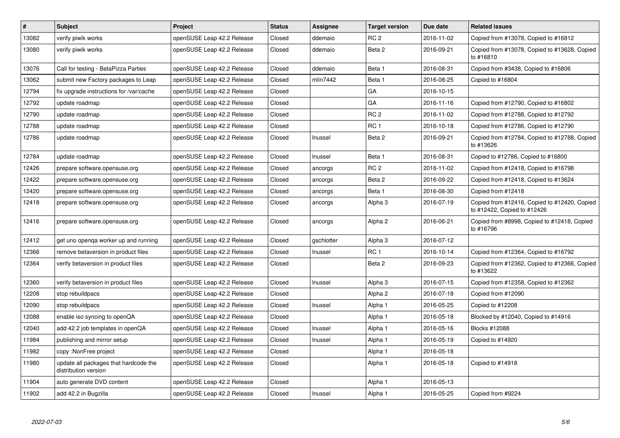| $\vert$ # | <b>Subject</b>                                                | Project                    | <b>Status</b> | <b>Assignee</b> | <b>Target version</b> | Due date   | <b>Related issues</b>                                                       |
|-----------|---------------------------------------------------------------|----------------------------|---------------|-----------------|-----------------------|------------|-----------------------------------------------------------------------------|
| 13082     | verify piwik works                                            | openSUSE Leap 42.2 Release | Closed        | ddemaio         | RC <sub>2</sub>       | 2016-11-02 | Copied from #13078, Copied to #16812                                        |
| 13080     | verify piwik works                                            | openSUSE Leap 42.2 Release | Closed        | ddemaio         | Beta 2                | 2016-09-21 | Copied from #13078, Copied to #13628, Copied<br>to #16810                   |
| 13076     | Call for testing - BetaPizza Parties                          | openSUSE Leap 42.2 Release | Closed        | ddemaio         | Beta 1                | 2016-08-31 | Copied from #3438, Copied to #16806                                         |
| 13062     | submit new Factory packages to Leap                           | openSUSE Leap 42.2 Release | Closed        | mlin7442        | Beta 1                | 2016-08-25 | Copied to #16804                                                            |
| 12794     | fix upgrade instructions for /var/cache                       | openSUSE Leap 42.2 Release | Closed        |                 | GA                    | 2016-10-15 |                                                                             |
| 12792     | update roadmap                                                | openSUSE Leap 42.2 Release | Closed        |                 | GA                    | 2016-11-16 | Copied from #12790, Copied to #16802                                        |
| 12790     | update roadmap                                                | openSUSE Leap 42.2 Release | Closed        |                 | RC <sub>2</sub>       | 2016-11-02 | Copied from #12788, Copied to #12792                                        |
| 12788     | update roadmap                                                | openSUSE Leap 42.2 Release | Closed        |                 | RC <sub>1</sub>       | 2016-10-18 | Copied from #12786, Copied to #12790                                        |
| 12786     | update roadmap                                                | openSUSE Leap 42.2 Release | Closed        | Inussel         | Beta 2                | 2016-09-21 | Copied from #12784, Copied to #12788, Copied<br>to #13626                   |
| 12784     | update roadmap                                                | openSUSE Leap 42.2 Release | Closed        | Inussel         | Beta 1                | 2016-08-31 | Copied to #12786, Copied to #16800                                          |
| 12426     | prepare software.opensuse.org                                 | openSUSE Leap 42.2 Release | Closed        | ancorgs         | RC <sub>2</sub>       | 2016-11-02 | Copied from #12418, Copied to #16798                                        |
| 12422     | prepare software.opensuse.org                                 | openSUSE Leap 42.2 Release | Closed        | ancorgs         | Beta 2                | 2016-09-22 | Copied from #12418, Copied to #13624                                        |
| 12420     | prepare software.opensuse.org                                 | openSUSE Leap 42.2 Release | Closed        | ancorgs         | Beta 1                | 2016-08-30 | Copied from #12418                                                          |
| 12418     | prepare software.opensuse.org                                 | openSUSE Leap 42.2 Release | Closed        | ancorgs         | Alpha 3               | 2016-07-19 | Copied from #12416, Copied to #12420, Copied<br>to #12422, Copied to #12426 |
| 12416     | prepare software.opensuse.org                                 | openSUSE Leap 42.2 Release | Closed        | ancorgs         | Alpha <sub>2</sub>    | 2016-06-21 | Copied from #8998, Copied to #12418, Copied<br>to #16796                    |
| 12412     | get uno openga worker up and running                          | openSUSE Leap 42.2 Release | Closed        | gschlotter      | Alpha <sub>3</sub>    | 2016-07-12 |                                                                             |
| 12366     | remove betaversion in product files                           | openSUSE Leap 42.2 Release | Closed        | Inussel         | RC <sub>1</sub>       | 2016-10-14 | Copied from #12364, Copied to #16792                                        |
| 12364     | verify betaversion in product files                           | openSUSE Leap 42.2 Release | Closed        |                 | Beta 2                | 2016-09-23 | Copied from #12362, Copied to #12366, Copied<br>to #13622                   |
| 12360     | verify betaversion in product files                           | openSUSE Leap 42.2 Release | Closed        | Inussel         | Alpha 3               | 2016-07-15 | Copied from #12358, Copied to #12362                                        |
| 12208     | stop rebuildpacs                                              | openSUSE Leap 42.2 Release | Closed        |                 | Alpha <sub>2</sub>    | 2016-07-18 | Copied from #12090                                                          |
| 12090     | stop rebuildpacs                                              | openSUSE Leap 42.2 Release | Closed        | Inussel         | Alpha 1               | 2016-05-25 | Copied to #12208                                                            |
| 12088     | enable iso syncing to openQA                                  | openSUSE Leap 42.2 Release | Closed        |                 | Alpha 1               | 2016-05-18 | Blocked by #12040, Copied to #14916                                         |
| 12040     | add 42.2 job templates in openQA                              | openSUSE Leap 42.2 Release | Closed        | Inussel         | Alpha 1               | 2016-05-16 | Blocks #12088                                                               |
| 11984     | publishing and mirror setup                                   | openSUSE Leap 42.2 Release | Closed        | Inussel         | Alpha 1               | 2016-05-19 | Copied to #14920                                                            |
| 11982     | copy :NonFree project                                         | openSUSE Leap 42.2 Release | Closed        |                 | Alpha 1               | 2016-05-18 |                                                                             |
| 11980     | update all packages that hardcode the<br>distribution version | openSUSE Leap 42.2 Release | Closed        |                 | Alpha 1               | 2016-05-18 | Copied to #14918                                                            |
| 11904     | auto generate DVD content                                     | openSUSE Leap 42.2 Release | Closed        |                 | Alpha 1               | 2016-05-13 |                                                                             |
| 11902     | add 42.2 in Bugzilla                                          | openSUSE Leap 42.2 Release | Closed        | Inussel         | Alpha 1               | 2016-05-25 | Copied from #9224                                                           |